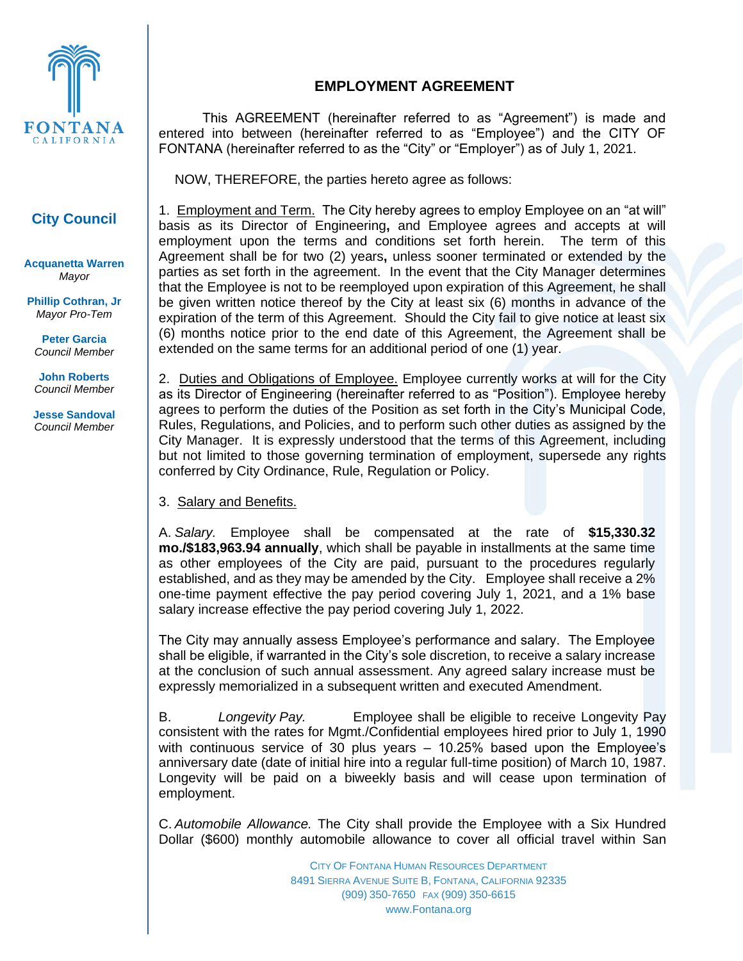

## **City Council**

**Acquanetta Warren** *Mayor*

**Phillip Cothran, Jr** *Mayor Pro-Tem*

**Peter Garcia** *Council Member*

**John Roberts** *Council Member*

**Jesse Sandoval** *Council Member*

## **EMPLOYMENT AGREEMENT**

This AGREEMENT (hereinafter referred to as "Agreement") is made and entered into between (hereinafter referred to as "Employee") and the CITY OF FONTANA (hereinafter referred to as the "City" or "Employer") as of July 1, 2021.

NOW, THEREFORE, the parties hereto agree as follows:

1. Employment and Term. The City hereby agrees to employ Employee on an "at will" basis as its Director of Engineering**,** and Employee agrees and accepts at will employment upon the terms and conditions set forth herein. The term of this Agreement shall be for two (2) years**,** unless sooner terminated or extended by the parties as set forth in the agreement. In the event that the City Manager determines that the Employee is not to be reemployed upon expiration of this Agreement, he shall be given written notice thereof by the City at least six (6) months in advance of the expiration of the term of this Agreement. Should the City fail to give notice at least six (6) months notice prior to the end date of this Agreement, the Agreement shall be extended on the same terms for an additional period of one (1) year.

2. Duties and Obligations of Employee. Employee currently works at will for the City as its Director of Engineering (hereinafter referred to as "Position"). Employee hereby agrees to perform the duties of the Position as set forth in the City's Municipal Code, Rules, Regulations, and Policies, and to perform such other duties as assigned by the City Manager. It is expressly understood that the terms of this Agreement, including but not limited to those governing termination of employment, supersede any rights conferred by City Ordinance, Rule, Regulation or Policy.

## 3. Salary and Benefits.

A. *Salary.* Employee shall be compensated at the rate of **\$15,330.32 mo./\$183,963.94 annually**, which shall be payable in installments at the same time as other employees of the City are paid, pursuant to the procedures regularly established, and as they may be amended by the City. Employee shall receive a 2% one-time payment effective the pay period covering July 1, 2021, and a 1% base salary increase effective the pay period covering July 1, 2022.

The City may annually assess Employee's performance and salary. The Employee shall be eligible, if warranted in the City's sole discretion, to receive a salary increase at the conclusion of such annual assessment. Any agreed salary increase must be expressly memorialized in a subsequent written and executed Amendment.

B. *Longevity Pay.* Employee shall be eligible to receive Longevity Pay consistent with the rates for Mgmt./Confidential employees hired prior to July 1, 1990 with continuous service of 30 plus years – 10.25% based upon the Employee's anniversary date (date of initial hire into a regular full-time position) of March 10, 1987. Longevity will be paid on a biweekly basis and will cease upon termination of employment.

C. *Automobile Allowance.* The City shall provide the Employee with a Six Hundred Dollar (\$600) monthly automobile allowance to cover all official travel within San

> CITY OF FONTANA HUMAN RESOURCES DEPARTMENT 8491 SIERRA AVENUE SUITE B, FONTANA, CALIFORNIA 92335 (909) 350-7650 FAX (909) 350-6615 www.Fontana.org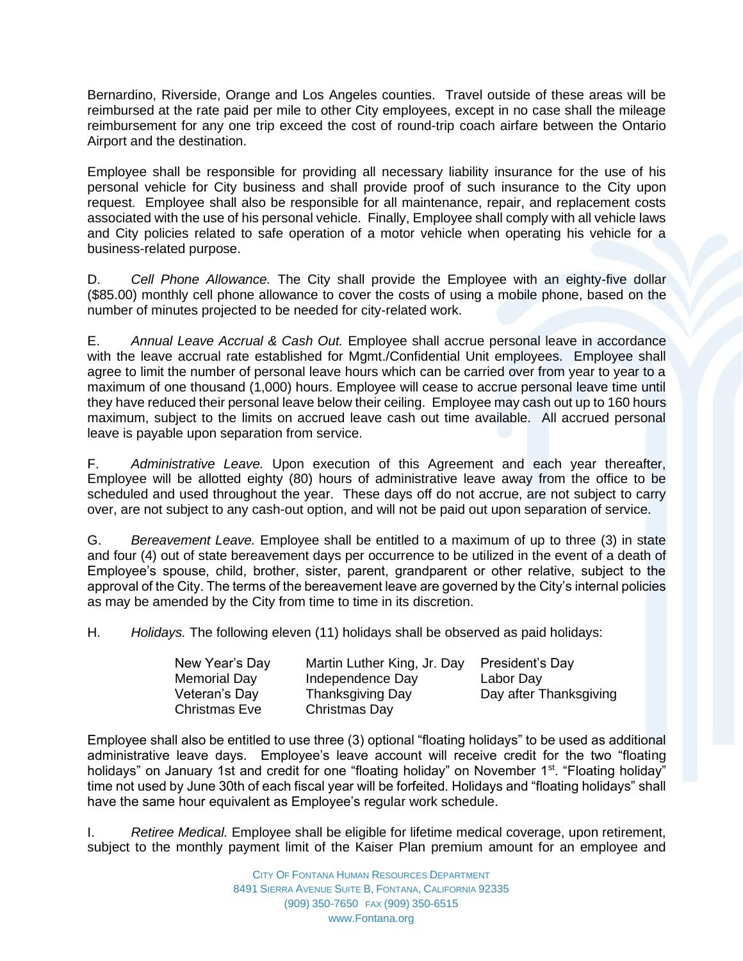Bernardino, Riverside, Orange and Los Angeles counties. Travel outside of these areas will be reimbursed at the rate paid per mile to other City employees, except in no case shall the mileage reimbursement for any one trip exceed the cost of round-trip coach airfare between the Ontario Airport and the destination.

Employee shall be responsible for providing all necessary liability insurance for the use of his personal vehicle for City business and shall provide proof of such insurance to the City upon request. Employee shall also be responsible for all maintenance, repair, and replacement costs associated with the use of his personal vehicle. Finally, Employee shall comply with all vehicle laws and City policies related to safe operation of a motor vehicle when operating his vehicle for a business-related purpose.

D. *Cell Phone Allowance.* The City shall provide the Employee with an eighty-five dollar (\$85.00) monthly cell phone allowance to cover the costs of using a mobile phone, based on the number of minutes projected to be needed for city-related work.

E. *Annual Leave Accrual & Cash Out.* Employee shall accrue personal leave in accordance with the leave accrual rate established for Mgmt./Confidential Unit employees. Employee shall agree to limit the number of personal leave hours which can be carried over from year to year to a maximum of one thousand (1,000) hours. Employee will cease to accrue personal leave time until they have reduced their personal leave below their ceiling. Employee may cash out up to 160 hours maximum, subject to the limits on accrued leave cash out time available. All accrued personal leave is payable upon separation from service.

F. *Administrative Leave.* Upon execution of this Agreement and each year thereafter, Employee will be allotted eighty (80) hours of administrative leave away from the office to be scheduled and used throughout the year. These days off do not accrue, are not subject to carry over, are not subject to any cash-out option, and will not be paid out upon separation of service.

G. *Bereavement Leave.* Employee shall be entitled to a maximum of up to three (3) in state and four (4) out of state bereavement days per occurrence to be utilized in the event of a death of Employee's spouse, child, brother, sister, parent, grandparent or other relative, subject to the approval of the City. The terms of the bereavement leave are governed by the City's internal policies as may be amended by the City from time to time in its discretion.

H. *Holidays.* The following eleven (11) holidays shall be observed as paid holidays:

| New Year's Day       | Martin Luther King, Jr. Day | President's Day        |
|----------------------|-----------------------------|------------------------|
| <b>Memorial Day</b>  | Independence Day            | Labor Day              |
| Veteran's Day        | <b>Thanksgiving Day</b>     | Day after Thanksgiving |
| <b>Christmas Eve</b> | Christmas Day               |                        |

Employee shall also be entitled to use three (3) optional "floating holidays" to be used as additional administrative leave days. Employee's leave account will receive credit for the two "floating holidays" on January 1st and credit for one "floating holiday" on November 1<sup>st</sup>. "Floating holiday" time not used by June 30th of each fiscal year will be forfeited. Holidays and "floating holidays" shall have the same hour equivalent as Employee's regular work schedule.

I. *Retiree Medical.* Employee shall be eligible for lifetime medical coverage, upon retirement, subject to the monthly payment limit of the Kaiser Plan premium amount for an employee and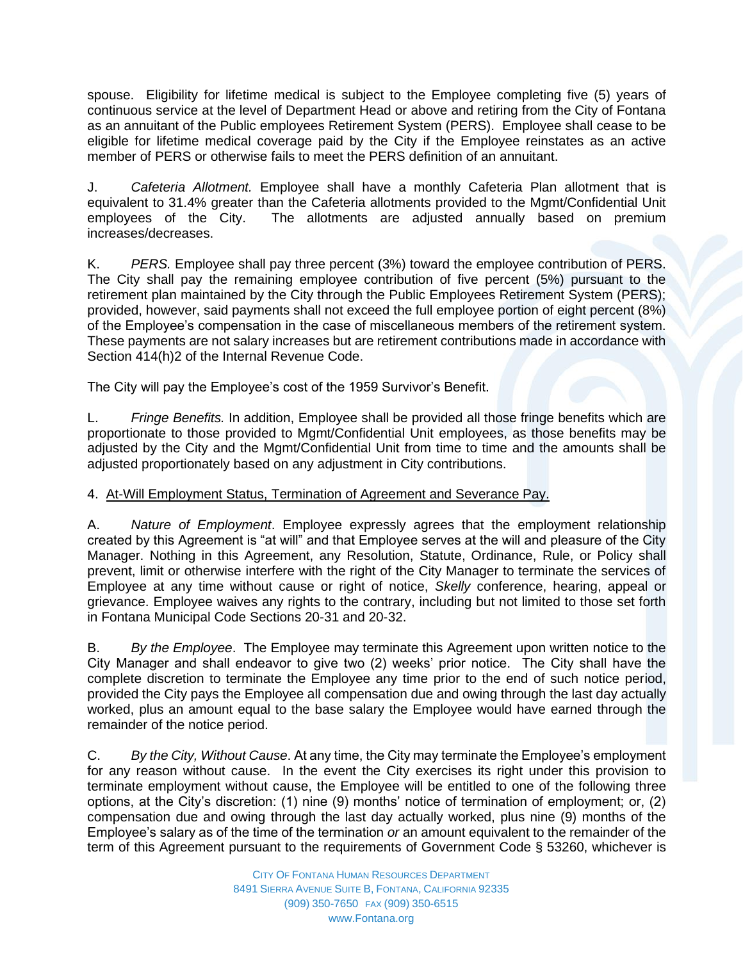spouse. Eligibility for lifetime medical is subject to the Employee completing five (5) years of continuous service at the level of Department Head or above and retiring from the City of Fontana as an annuitant of the Public employees Retirement System (PERS). Employee shall cease to be eligible for lifetime medical coverage paid by the City if the Employee reinstates as an active member of PERS or otherwise fails to meet the PERS definition of an annuitant.

J. *Cafeteria Allotment.* Employee shall have a monthly Cafeteria Plan allotment that is equivalent to 31.4% greater than the Cafeteria allotments provided to the Mgmt/Confidential Unit employees of the City. The allotments are adjusted annually based on premium increases/decreases.

K. *PERS.* Employee shall pay three percent (3%) toward the employee contribution of PERS. The City shall pay the remaining employee contribution of five percent (5%) pursuant to the retirement plan maintained by the City through the Public Employees Retirement System (PERS); provided, however, said payments shall not exceed the full employee portion of eight percent (8%) of the Employee's compensation in the case of miscellaneous members of the retirement system. These payments are not salary increases but are retirement contributions made in accordance with Section 414(h)2 of the Internal Revenue Code.

The City will pay the Employee's cost of the 1959 Survivor's Benefit.

L. *Fringe Benefits.* In addition, Employee shall be provided all those fringe benefits which are proportionate to those provided to Mgmt/Confidential Unit employees, as those benefits may be adjusted by the City and the Mgmt/Confidential Unit from time to time and the amounts shall be adjusted proportionately based on any adjustment in City contributions.

## 4. At-Will Employment Status, Termination of Agreement and Severance Pay.

A. *Nature of Employment*. Employee expressly agrees that the employment relationship created by this Agreement is "at will" and that Employee serves at the will and pleasure of the City Manager. Nothing in this Agreement, any Resolution, Statute, Ordinance, Rule, or Policy shall prevent, limit or otherwise interfere with the right of the City Manager to terminate the services of Employee at any time without cause or right of notice, *Skelly* conference, hearing, appeal or grievance. Employee waives any rights to the contrary, including but not limited to those set forth in Fontana Municipal Code Sections 20-31 and 20-32.

B. *By the Employee*. The Employee may terminate this Agreement upon written notice to the City Manager and shall endeavor to give two (2) weeks' prior notice. The City shall have the complete discretion to terminate the Employee any time prior to the end of such notice period, provided the City pays the Employee all compensation due and owing through the last day actually worked, plus an amount equal to the base salary the Employee would have earned through the remainder of the notice period.

C. *By the City, Without Cause*. At any time, the City may terminate the Employee's employment for any reason without cause. In the event the City exercises its right under this provision to terminate employment without cause, the Employee will be entitled to one of the following three options, at the City's discretion: (1) nine (9) months' notice of termination of employment; or, (2) compensation due and owing through the last day actually worked, plus nine (9) months of the Employee's salary as of the time of the termination *or* an amount equivalent to the remainder of the term of this Agreement pursuant to the requirements of Government Code § 53260, whichever is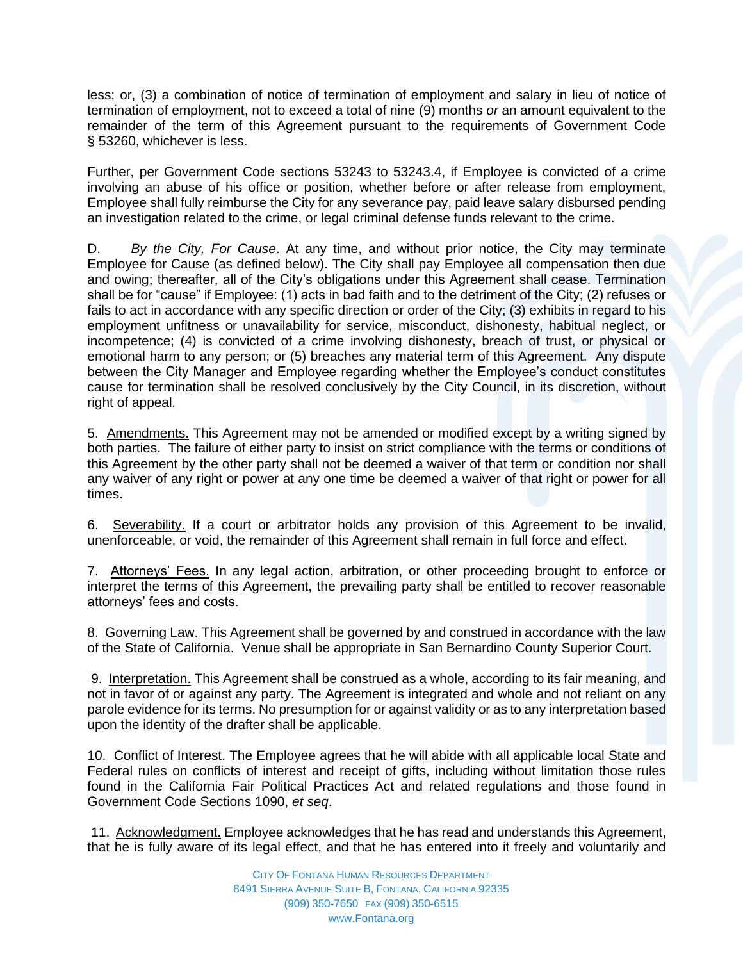less; or, (3) a combination of notice of termination of employment and salary in lieu of notice of termination of employment, not to exceed a total of nine (9) months *or* an amount equivalent to the remainder of the term of this Agreement pursuant to the requirements of Government Code § 53260, whichever is less.

Further, per Government Code sections 53243 to 53243.4, if Employee is convicted of a crime involving an abuse of his office or position, whether before or after release from employment, Employee shall fully reimburse the City for any severance pay, paid leave salary disbursed pending an investigation related to the crime, or legal criminal defense funds relevant to the crime.

D. *By the City, For Cause*. At any time, and without prior notice, the City may terminate Employee for Cause (as defined below). The City shall pay Employee all compensation then due and owing; thereafter, all of the City's obligations under this Agreement shall cease. Termination shall be for "cause" if Employee: (1) acts in bad faith and to the detriment of the City; (2) refuses or fails to act in accordance with any specific direction or order of the City; (3) exhibits in regard to his employment unfitness or unavailability for service, misconduct, dishonesty, habitual neglect, or incompetence; (4) is convicted of a crime involving dishonesty, breach of trust, or physical or emotional harm to any person; or (5) breaches any material term of this Agreement. Any dispute between the City Manager and Employee regarding whether the Employee's conduct constitutes cause for termination shall be resolved conclusively by the City Council, in its discretion, without right of appeal.

5. Amendments. This Agreement may not be amended or modified except by a writing signed by both parties. The failure of either party to insist on strict compliance with the terms or conditions of this Agreement by the other party shall not be deemed a waiver of that term or condition nor shall any waiver of any right or power at any one time be deemed a waiver of that right or power for all times.

6. Severability. If a court or arbitrator holds any provision of this Agreement to be invalid, unenforceable, or void, the remainder of this Agreement shall remain in full force and effect.

7. Attorneys' Fees. In any legal action, arbitration, or other proceeding brought to enforce or interpret the terms of this Agreement, the prevailing party shall be entitled to recover reasonable attorneys' fees and costs.

8. Governing Law. This Agreement shall be governed by and construed in accordance with the law of the State of California. Venue shall be appropriate in San Bernardino County Superior Court.

9. Interpretation. This Agreement shall be construed as a whole, according to its fair meaning, and not in favor of or against any party. The Agreement is integrated and whole and not reliant on any parole evidence for its terms. No presumption for or against validity or as to any interpretation based upon the identity of the drafter shall be applicable.

10. Conflict of Interest. The Employee agrees that he will abide with all applicable local State and Federal rules on conflicts of interest and receipt of gifts, including without limitation those rules found in the California Fair Political Practices Act and related regulations and those found in Government Code Sections 1090, *et seq*.

11. Acknowledgment. Employee acknowledges that he has read and understands this Agreement, that he is fully aware of its legal effect, and that he has entered into it freely and voluntarily and